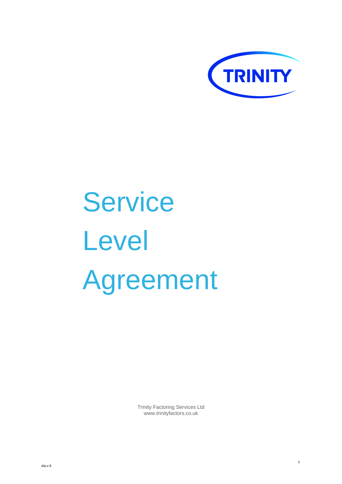

# **Service** Level Agreement

Trinity Factoring Services Ltd www.trinityfactors.co.uk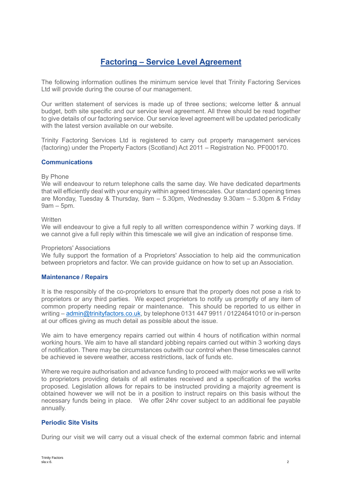# **Factoring – Service Level Agreement**

The following information outlines the minimum service level that Trinity Factoring Services Ltd will provide during the course of our management.

Our written statement of services is made up of three sections; welcome letter & annual budget, both site specific and our service level agreement. All three should be read together to give details of our factoring service. Our service level agreement will be updated periodically with the latest version available on our website.

Trinity Factoring Services Ltd is registered to carry out property management services (factoring) under the Property Factors (Scotland) Act 2011 – Registration No. PF000170.

#### **Communications**

#### By Phone

We will endeavour to return telephone calls the same day. We have dedicated departments that will efficiently deal with your enquiry within agreed timescales. Our standard opening times are Monday, Tuesday & Thursday, 9am – 5.30pm, Wednesday 9.30am – 5.30pm & Friday 9am – 5pm.

#### **Written**

We will endeavour to give a full reply to all written correspondence within 7 working days. If we cannot give a full reply within this timescale we will give an indication of response time.

#### Proprietors' Associations

We fully support the formation of a Proprietors' Association to help aid the communication between proprietors and factor. We can provide guidance on how to set up an Association.

#### **Maintenance / Repairs**

It is the responsibly of the co-proprietors to ensure that the property does not pose a risk to proprietors or any third parties. We expect proprietors to notify us promptly of any item of common property needing repair or maintenance. This should be reported to us either in writing – [admin@trinityfactors.co.uk,](mailto:admin@trinityfactors.co.uk) by telephone 0131 447 9911 / 01224641010 or in-person at our offices giving as much detail as possible about the issue.

We aim to have emergency repairs carried out within 4 hours of notification within normal working hours. We aim to have all standard jobbing repairs carried out within 3 working days of notification. There may be circumstances outwith our control when these timescales cannot be achieved ie severe weather, access restrictions, lack of funds etc.

Where we require authorisation and advance funding to proceed with major works we will write to proprietors providing details of all estimates received and a specification of the works proposed. Legislation allows for repairs to be instructed providing a majority agreement is obtained however we will not be in a position to instruct repairs on this basis without the necessary funds being in place. We offer 24hr cover subject to an additional fee payable annually.

# **Periodic Site Visits**

During our visit we will carry out a visual check of the external common fabric and internal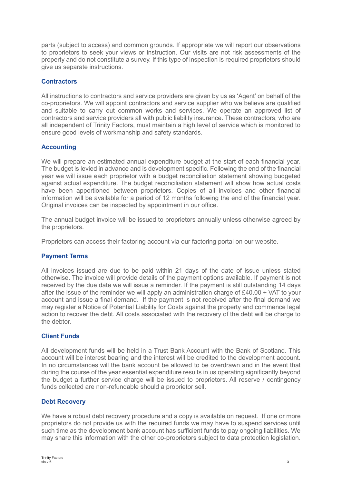parts (subject to access) and common grounds. If appropriate we will report our observations to proprietors to seek your views or instruction. Our visits are not risk assessments of the property and do not constitute a survey. If this type of inspection is required proprietors should give us separate instructions.

# **Contractors**

All instructions to contractors and service providers are given by us as 'Agent' on behalf of the co-proprietors. We will appoint contractors and service supplier who we believe are qualified and suitable to carry out common works and services. We operate an approved list of contractors and service providers all with public liability insurance. These contractors, who are all independent of Trinity Factors, must maintain a high level of service which is monitored to ensure good levels of workmanship and safety standards.

# **Accounting**

We will prepare an estimated annual expenditure budget at the start of each financial year. The budget is levied in advance and is development specific. Following the end of the financial year we will issue each proprietor with a budget reconciliation statement showing budgeted against actual expenditure. The budget reconciliation statement will show how actual costs have been apportioned between proprietors. Copies of all invoices and other financial information will be available for a period of 12 months following the end of the financial year. Original invoices can be inspected by appointment in our office.

The annual budget invoice will be issued to proprietors annually unless otherwise agreed by the proprietors.

Proprietors can access their factoring account via our factoring portal on our website.

# **Payment Terms**

All invoices issued are due to be paid within 21 days of the date of issue unless stated otherwise. The invoice will provide details of the payment options available. If payment is not received by the due date we will issue a reminder. If the payment is still outstanding 14 days after the issue of the reminder we will apply an administration charge of £40.00 + VAT to your account and issue a final demand. If the payment is not received after the final demand we may register a Notice of Potential Liability for Costs against the property and commence legal action to recover the debt. All costs associated with the recovery of the debt will be charge to the debtor.

# **Client Funds**

All development funds will be held in a Trust Bank Account with the Bank of Scotland. This account will be interest bearing and the interest will be credited to the development account. In no circumstances will the bank account be allowed to be overdrawn and in the event that during the course of the year essential expenditure results in us operating significantly beyond the budget a further service charge will be issued to proprietors. All reserve / contingency funds collected are non-refundable should a proprietor sell.

# **Debt Recovery**

We have a robust debt recovery procedure and a copy is available on request. If one or more proprietors do not provide us with the required funds we may have to suspend services until such time as the development bank account has sufficient funds to pay ongoing liabilities. We may share this information with the other co-proprietors subject to data protection legislation.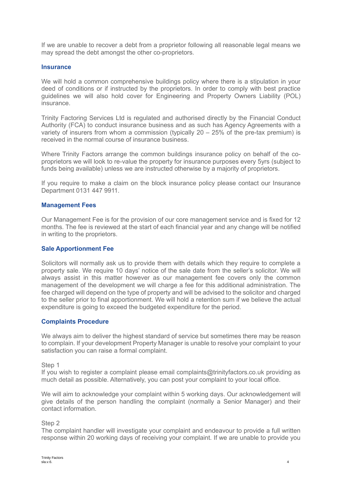If we are unable to recover a debt from a proprietor following all reasonable legal means we may spread the debt amongst the other co-proprietors.

#### **Insurance**

We will hold a common comprehensive buildings policy where there is a stipulation in your deed of conditions or if instructed by the proprietors. In order to comply with best practice guidelines we will also hold cover for Engineering and Property Owners Liability (POL) insurance.

Trinity Factoring Services Ltd is regulated and authorised directly by the Financial Conduct Authority (FCA) to conduct insurance business and as such has Agency Agreements with a variety of insurers from whom a commission (typically 20 – 25% of the pre-tax premium) is received in the normal course of insurance business.

Where Trinity Factors arrange the common buildings insurance policy on behalf of the coproprietors we will look to re-value the property for insurance purposes every 5yrs (subject to funds being available) unless we are instructed otherwise by a majority of proprietors.

If you require to make a claim on the block insurance policy please contact our Insurance Department 0131 447 9911.

#### **Management Fees**

Our Management Fee is for the provision of our core management service and is fixed for 12 months. The fee is reviewed at the start of each financial year and any change will be notified in writing to the proprietors.

#### **Sale Apportionment Fee**

Solicitors will normally ask us to provide them with details which they require to complete a property sale. We require 10 days' notice of the sale date from the seller's solicitor. We will always assist in this matter however as our management fee covers only the common management of the development we will charge a fee for this additional administration. The fee charged will depend on the type of property and will be advised to the solicitor and charged to the seller prior to final apportionment. We will hold a retention sum if we believe the actual expenditure is going to exceed the budgeted expenditure for the period.

# **Complaints Procedure**

We always aim to deliver the highest standard of service but sometimes there may be reason to complain. If your development Property Manager is unable to resolve your complaint to your satisfaction you can raise a formal complaint.

Step 1

If you wish to register a complaint please email complaints@trinityfactors.co.uk providing as much detail as possible. Alternatively, you can post your complaint to your local office.

We will aim to acknowledge your complaint within 5 working days. Our acknowledgement will give details of the person handling the complaint (normally a Senior Manager) and their contact information.

#### Step 2

The complaint handler will investigate your complaint and endeavour to provide a full written response within 20 working days of receiving your complaint. If we are unable to provide you